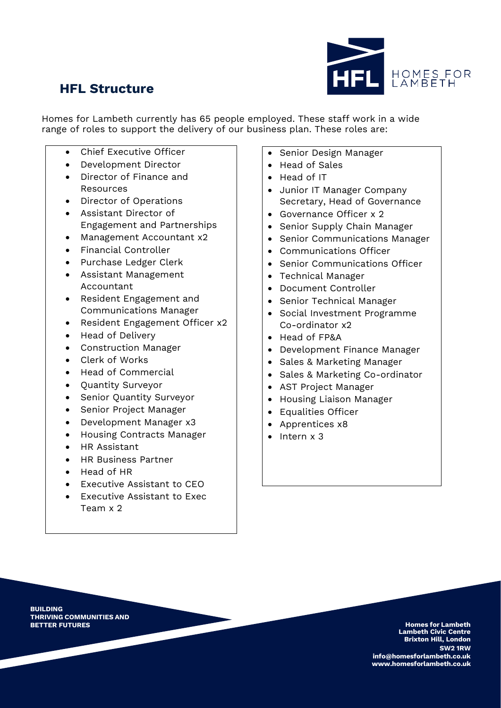

## **HFL Structure**

Homes for Lambeth currently has 65 people employed. These staff work in a wide range of roles to support the delivery of our business plan. These roles are:

- Chief Executive Officer
- Development Director
- Director of Finance and Resources
- Director of Operations
- Assistant Director of Engagement and Partnerships
- Management Accountant x2
- Financial Controller
- Purchase Ledger Clerk
- Assistant Management Accountant
- Resident Engagement and Communications Manager
- Resident Engagement Officer x2
- Head of Delivery
- Construction Manager
- Clerk of Works
- Head of Commercial
- Quantity Surveyor
- Senior Quantity Surveyor
- Senior Project Manager
- Development Manager x3
- Housing Contracts Manager
- HR Assistant
- HR Business Partner
- Head of HR
- Executive Assistant to CEO
- Executive Assistant to Exec Team x 2
- Senior Design Manager
- Head of Sales
- Head of IT
- Junior IT Manager Company Secretary, Head of Governance
- Governance Officer x 2
- Senior Supply Chain Manager
- Senior Communications Manager
- Communications Officer
- Senior Communications Officer
- Technical Manager
- Document Controller
- Senior Technical Manager
- Social Investment Programme Co-ordinator x2
- Head of FP&A
- Development Finance Manager
- Sales & Marketing Manager
- Sales & Marketing Co-ordinator
- AST Project Manager
- Housing Liaison Manager
- Equalities Officer
- Apprentices x8
- Intern x 3

**BUILDING THRIVING COMMUNITIES AND BETTER FUTURES Homes for Lambeth**

**Lambeth Civic Centre Brixton Hill, London SW2 1RW [info@homesforlambeth.co.uk](mailto:info@homesforlambeth.co.uk) [www.homesforlambeth.co.uk](http://www.homesforlambeth.co.uk/)**